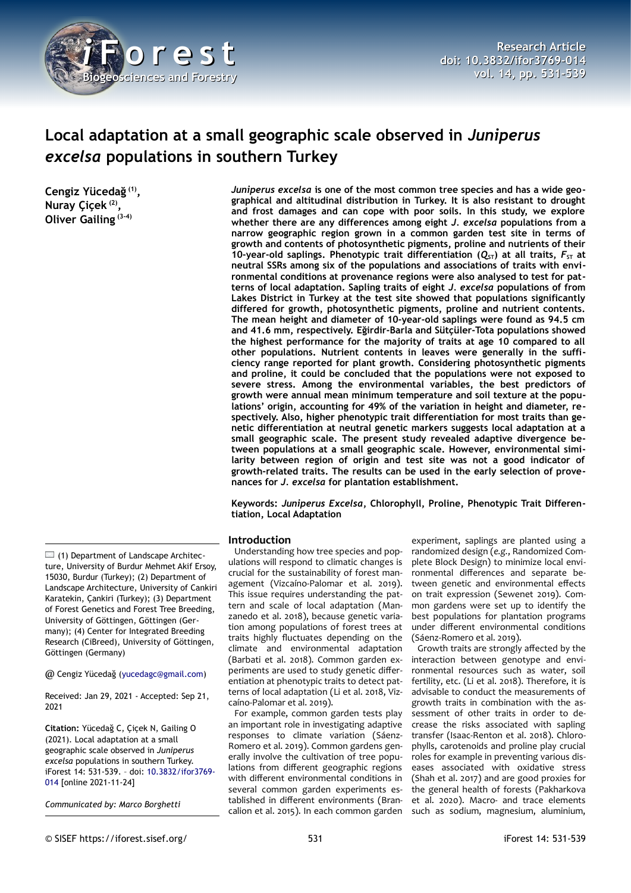

# **Local adaptation at a small geographic scale observed in** *Juniperus excelsa* **populations in southern Turkey**

**Cengiz Yücedağ (1) , Nuray Çiçek (2) , Oliver Gailing (3-4)**

*Juniperus excelsa* **is one of the most common tree species and has a wide geographical and altitudinal distribution in Turkey. It is also resistant to drought and frost damages and can cope with poor soils. In this study, we explore whether there are any differences among eight** *J. excelsa* **populations from a narrow geographic region grown in a common garden test site in terms of growth and contents of photosynthetic pigments, proline and nutrients of their 10-year-old saplings. Phenotypic trait differentiation (** $Q_{ST}$ **) at all traits,**  $F_{ST}$  **at neutral SSRs among six of the populations and associations of traits with environmental conditions at provenance regions were also analysed to test for patterns of local adaptation. Sapling traits of eight** *J. excelsa* **populations of from Lakes District in Turkey at the test site showed that populations significantly differed for growth, photosynthetic pigments, proline and nutrient contents. The mean height and diameter of 10-year-old saplings were found as 94.5 cm and 41.6 mm, respectively. Eğirdir-Barla and Sütçüler-Tota populations showed the highest performance for the majority of traits at age 10 compared to all other populations. Nutrient contents in leaves were generally in the sufficiency range reported for plant growth. Considering photosynthetic pigments and proline, it could be concluded that the populations were not exposed to severe stress. Among the environmental variables, the best predictors of growth were annual mean minimum temperature and soil texture at the populations' origin, accounting for 49% of the variation in height and diameter, respectively. Also, higher phenotypic trait differentiation for most traits than genetic differentiation at neutral genetic markers suggests local adaptation at a small geographic scale. The present study revealed adaptive divergence between populations at a small geographic scale. However, environmental similarity between region of origin and test site was not a good indicator of growth-related traits. The results can be used in the early selection of provenances for** *J. excelsa* **for plantation establishment.**

**Keywords:** *Juniperus Excelsa***, Chlorophyll, Proline, Phenotypic Trait Differentiation, Local Adaptation**

### **Introduction**

Understanding how tree species and populations will respond to climatic changes is crucial for the sustainability of forest management (Vizcaíno-Palomar et al. 2019). This issue requires understanding the pattern and scale of local adaptation (Manzanedo et al. 2018), because genetic variation among populations of forest trees at traits highly fluctuates depending on the climate and environmental adaptation (Barbati et al. 2018). Common garden experiments are used to study genetic differentiation at phenotypic traits to detect patterns of local adaptation (Li et al. 2018, Vizcaíno-Palomar et al. 2019).

For example, common garden tests play an important role in investigating adaptive responses to climate variation (Sáenz-Romero et al. 2019). Common gardens generally involve the cultivation of tree populations from different geographic regions with different environmental conditions in several common garden experiments established in different environments (Brancalion et al. 2015). In each common garden

experiment, saplings are planted using a randomized design (*e.g.*, Randomized Complete Block Design) to minimize local environmental differences and separate between genetic and environmental effects on trait expression (Sewenet 2019). Common gardens were set up to identify the best populations for plantation programs under different environmental conditions (Sáenz-Romero et al. 2019).

Growth traits are strongly affected by the interaction between genotype and environmental resources such as water, soil fertility, etc. (Li et al. 2018). Therefore, it is advisable to conduct the measurements of growth traits in combination with the assessment of other traits in order to decrease the risks associated with sapling transfer (Isaac-Renton et al. 2018). Chlorophylls, carotenoids and proline play crucial roles for example in preventing various diseases associated with oxidative stress (Shah et al. 2017) and are good proxies for the general health of forests (Pakharkova et al. 2020). Macro- and trace elements such as sodium, magnesium, aluminium,

@ Cengiz Yücedağ ([yucedagc@gmail.com\)](mailto:yucedagc@gmail.com)

Received: Jan 29, 2021 - Accepted: Sep 21, 2021

**Citation:** Yücedağ C, Çiçek N, Gailing O (2021). Local adaptation at a small geographic scale observed in *Juniperus excelsa* populations in southern Turkey. iForest 14: 531-539. – doi: [10.3832/ifor3769-](http://www.sisef.it/iforest/contents/?id=ifor3769-014) [014](http://www.sisef.it/iforest/contents/?id=ifor3769-014) [online 2021-11-24]

*Communicated by: Marco Borghetti*

 $\Box$  (1) Department of Landscape Architecture, University of Burdur Mehmet Akif Ersoy, 15030, Burdur (Turkey); (2) Department of Landscape Architecture, University of Cankiri Karatekin, Çankiri (Turkey); (3) Department of Forest Genetics and Forest Tree Breeding, University of Göttingen, Göttingen (Germany); (4) Center for Integrated Breeding Research (CiBreed), University of Göttingen, Göttingen (Germany)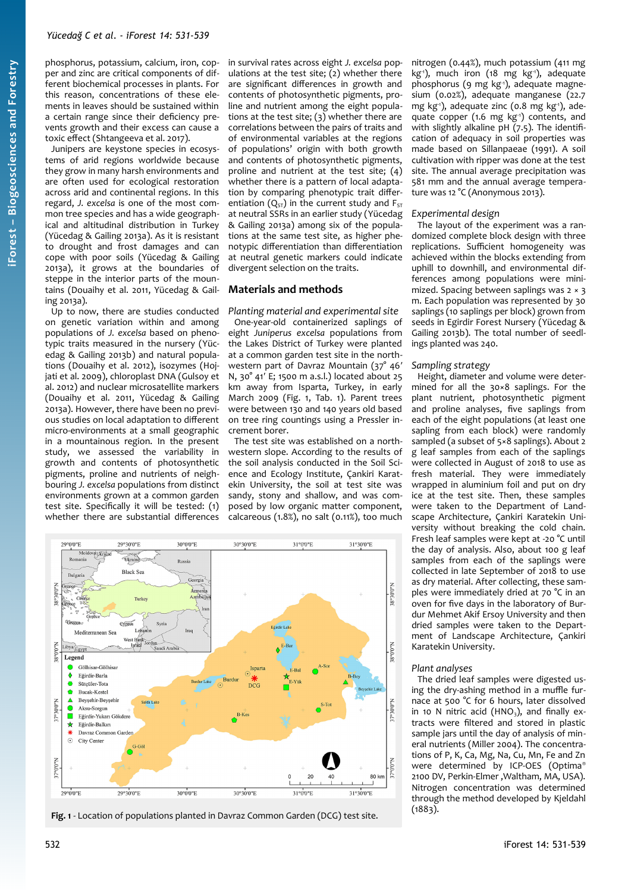Junipers are keystone species in ecosystems of arid regions worldwide because they grow in many harsh environments and are often used for ecological restoration across arid and continental regions. In this regard, *J. excelsa* is one of the most common tree species and has a wide geographical and altitudinal distribution in Turkey (Yücedag & Gailing 2013a). As it is resistant to drought and frost damages and can cope with poor soils (Yücedag & Gailing 2013a), it grows at the boundaries of steppe in the interior parts of the mountains (Douaihy et al. 2011, Yücedag & Gailing 2013a).

Up to now, there are studies conducted on genetic variation within and among populations of *J. excelsa* based on phenotypic traits measured in the nursery (Yücedag & Gailing 2013b) and natural populations (Douaihy et al. 2012), isozymes (Hojjati et al. 2009), chloroplast DNA (Gulsoy et al. 2012) and nuclear microsatellite markers (Douaihy et al. 2011, Yücedag & Gailing 2013a). However, there have been no previous studies on local adaptation to different micro-environments at a small geographic in a mountainous region. In the present study, we assessed the variability in growth and contents of photosynthetic pigments, proline and nutrients of neighbouring *J. excelsa* populations from distinct environments grown at a common garden test site. Specifically it will be tested: (1) whether there are substantial differences

in survival rates across eight *J. excelsa* populations at the test site; (2) whether there are significant differences in growth and contents of photosynthetic pigments, proline and nutrient among the eight populations at the test site; (3) whether there are correlations between the pairs of traits and of environmental variables at the regions of populations' origin with both growth and contents of photosynthetic pigments, proline and nutrient at the test site; (4) whether there is a pattern of local adaptation by comparing phenotypic trait differentiation  $(Q_{ST})$  in the current study and  $F_{ST}$ at neutral SSRs in an earlier study (Yücedag & Gailing 2013a) among six of the populations at the same test site, as higher phenotypic differentiation than differentiation at neutral genetic markers could indicate divergent selection on the traits.

# **Materials and methods**

*Planting material and experimental site* One-year-old containerized saplings of eight *Juniperus excelsa* populations from the Lakes District of Turkey were planted at a common garden test site in the northwestern part of Davraz Mountain (37° 46′ N, 30° 41′ E; 1500 m a.s.l.) located about 25 km away from Isparta, Turkey, in early March 2009 [\(Fig. 1](#page-1-0), [Tab. 1](#page-2-0)). Parent trees were between 130 and 140 years old based on tree ring countings using a Pressler increment borer.

The test site was established on a northwestern slope. According to the results of the soil analysis conducted in the Soil Science and Ecology Institute, Çankiri Karatekin University, the soil at test site was sandy, stony and shallow, and was composed by low organic matter component, calcareous (1.8%), no salt (0.11%), too much



<span id="page-1-0"></span>**Fig. 1** - Location of populations planted in Davraz Common Garden (DCG) test site.

nitrogen (0.44%), much potassium (411 mg  $kg^{-1}$ ), much iron (18 mg  $kg^{-1}$ ), adequate phosphorus (9 mg kg<sup>-1</sup>), adequate magnesium (0.02%), adequate manganese (22.7 mg kg<sup>-1</sup>), adequate zinc (0.8 mg kg<sup>-1</sup>), adequate copper (1.6 mg kg<sup>-1</sup>) contents, and with slightly alkaline pH (7.5). The identification of adequacy in soil properties was made based on Sillanpaeae (1991). A soil cultivation with ripper was done at the test site. The annual average precipitation was 581 mm and the annual average temperature was 12 °C (Anonymous 2013).

### *Experimental design*

The layout of the experiment was a randomized complete block design with three replications. Sufficient homogeneity was achieved within the blocks extending from uphill to downhill, and environmental differences among populations were minimized. Spacing between saplings was 2 × 3 m. Each population was represented by 30 saplings (10 saplings per block) grown from seeds in Egirdir Forest Nursery (Yücedag & Gailing 2013b). The total number of seedlings planted was 240.

### *Sampling strategy*

Height, diameter and volume were determined for all the 30×8 saplings. For the plant nutrient, photosynthetic pigment and proline analyses, five saplings from each of the eight populations (at least one sapling from each block) were randomly sampled (a subset of 5×8 saplings). About 2 g leaf samples from each of the saplings were collected in August of 2018 to use as fresh material. They were immediately wrapped in aluminium foil and put on dry ice at the test site. Then, these samples were taken to the Department of Landscape Architecture, Çankiri Karatekin University without breaking the cold chain. Fresh leaf samples were kept at -20 °C until the day of analysis. Also, about 100 g leaf samples from each of the saplings were collected in late September of 2018 to use as dry material. After collecting, these samples were immediately dried at 70 °C in an oven for five days in the laboratory of Burdur Mehmet Akif Ersoy University and then dried samples were taken to the Department of Landscape Architecture, Çankiri Karatekin University.

### *Plant analyses*

The dried leaf samples were digested using the dry-ashing method in a muffle furnace at 500 °C for 6 hours, later dissolved in 10 N nitric acid (HNO<sub>3</sub>), and finally extracts were filtered and stored in plastic sample jars until the day of analysis of mineral nutrients (Miller 2004). The concentrations of P, K, Ca, Mg, Na, Cu, Mn, Fe and Zn were determined by ICP-OES (Optima® 2100 DV, Perkin-Elmer ,Waltham, MA, USA). Nitrogen concentration was determined through the method developed by Kjeldahl  $(1883)$ .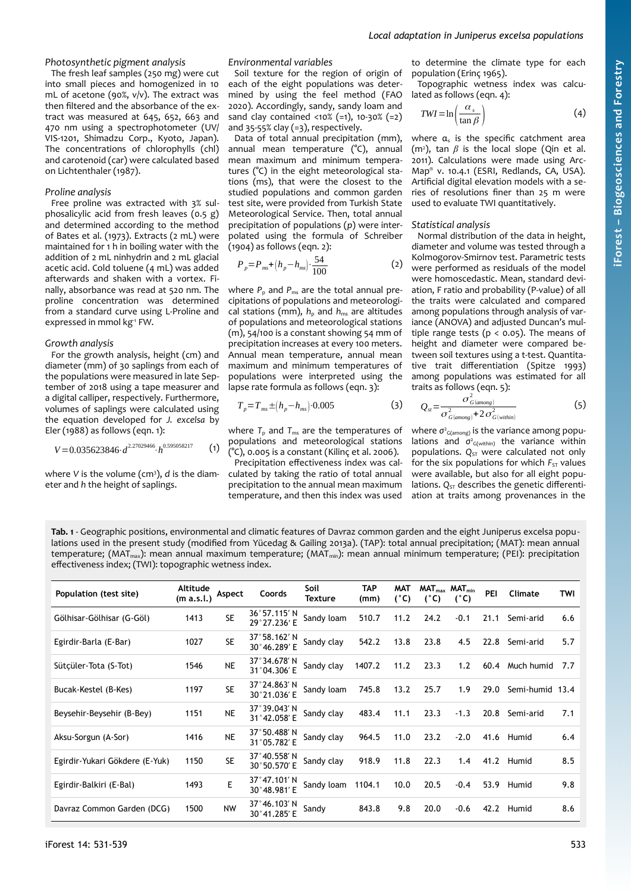# *Photosynthetic pigment analysis*

The fresh leaf samples (250 mg) were cut into small pieces and homogenized in 10 mL of acetone (90%, v/v). The extract was then filtered and the absorbance of the extract was measured at 645, 652, 663 and 470 nm using a spectrophotometer (UV/ VIS-1201, Shimadzu Corp., Kyoto, Japan). The concentrations of chlorophylls (chl) and carotenoid (car) were calculated based on Lichtenthaler (1987).

### *Proline analysis*

Free proline was extracted with 3% sulphosalicylic acid from fresh leaves (0.5 g) and determined according to the method of Bates et al. (1973). Extracts (2 mL) were maintained for 1 h in boiling water with the addition of 2 mL ninhydrin and 2 mL glacial acetic acid. Cold toluene (4 mL) was added afterwards and shaken with a vortex. Finally, absorbance was read at 520 nm. The proline concentration was determined from a standard curve using L-Proline and expressed in mmol kg<sup>-1</sup> FW.

### *Growth analysis*

For the growth analysis, height (cm) and diameter (mm) of 30 saplings from each of the populations were measured in late September of 2018 using a tape measurer and a digital calliper, respectively. Furthermore, volumes of saplings were calculated using the equation developed for *J. excelsa* by Eler (1988) as follows (eqn. 1):

$$
V = 0.035623846 \cdot d^{2.27029466} \cdot h^{0.595058217} \tag{1}
$$

where V is the volume (cm<sup>3</sup>), *d* is the diameter and *h* the height of saplings.

### *Environmental variables*

Soil texture for the region of origin of each of the eight populations was determined by using the feel method (FAO 2020). Accordingly, sandy, sandy loam and sand clay contained <10% (=1), 10-30% (=2) and  $35-55\%$  clay (=3), respectively.

Data of total annual precipitation (mm), annual mean temperature (°C), annual mean maximum and minimum temperatures (°C) in the eight meteorological stations (ms), that were the closest to the studied populations and common garden test site, were provided from Turkish State Meteorological Service. Then, total annual precipitation of populations (*p*) were interpolated using the formula of Schreiber (1904) as follows (eqn. 2):

$$
P_p = P_{ms} + (h_p - h_{ms}) \cdot \frac{54}{100} \tag{2}
$$

where  $P_p$  and  $P_{ms}$  are the total annual precipitations of populations and meteorological stations (mm),  $h_{\rm p}$  and  $h_{\rm ms}$  are altitudes of populations and meteorological stations (m), 54/100 is a constant showing 54 mm of precipitation increases at every 100 meters. Annual mean temperature, annual mean maximum and minimum temperatures of populations were interpreted using the lapse rate formula as follows (eqn. 3):

$$
T_p = T_{ms} \pm (h_p - h_{ms}) \cdot 0.005
$$
 (3)

where  $T_{\text{p}}$  and  $T_{\text{ms}}$  are the temperatures of populations and meteorological stations (°C), 0.005 is a constant (Kilinç et al. 2006).

Precipitation effectiveness index was calculated by taking the ratio of total annual precipitation to the annual mean maximum temperature, and then this index was used

to determine the climate type for each population (Erinç 1965).

Topographic wetness index was calculated as follows (eqn. 4):

$$
TWI = \ln\left(\frac{\alpha_s}{\tan \beta}\right) \tag{4}
$$

where  $\alpha_s$  is the specific catchment area (m<sup>2</sup>), tan  $\beta$  is the local slope (Qin et al. 2011). Calculations were made using Arc-Map® v. 10.4.1 (ESRI, Redlands, CA, USA). Artificial digital elevation models with a series of resolutions finer than 25 m were used to evaluate TWI quantitatively.

### *Statistical analysis*

Normal distribution of the data in height, diameter and volume was tested through a Kolmogorov-Smirnov test. Parametric tests were performed as residuals of the model were homoscedastic. Mean, standard deviation, F ratio and probability (P-value) of all the traits were calculated and compared among populations through analysis of variance (ANOVA) and adjusted Duncan's multiple range tests ( $p < 0.05$ ). The means of height and diameter were compared between soil textures using a t-test. Quantitative trait differentiation (Spitze 1993) among populations was estimated for all traits as follows (eqn. 5):

$$
Q_{st} = \frac{\sigma_{G(among)}^2}{\sigma_{G(among)}^2 + 2\sigma_{G(within)}^2}
$$
 (5)

where *σ*<sup>2</sup><sub>G(among)</sub> is the variance among populations and  $\sigma$ <sup>2</sup><sub>G(within)</sub> the variance within populations. Q<sub>ST</sub> were calculated not only for the six populations for which  $F_{ST}$  values were available, but also for all eight populations.  $Q_{ST}$  describes the genetic differentiation at traits among provenances in the

<span id="page-2-0"></span>**Tab. 1** - Geographic positions, environmental and climatic features of Davraz common garden and the eight Juniperus excelsa populations used in the present study (modified from Yücedag & Gailing 2013a). (TAP): total annual precipitation; (MAT): mean annual temperature; (MAT<sub>max</sub>): mean annual maximum temperature; (MAT<sub>min</sub>): mean annual minimum temperature; (PEI): precipitation effectiveness index; (TWI): topographic wetness index.

| Population (test site)         | Altitude<br>(m a.s.l.) | Aspect    | Coords                                 | Soil<br>Texture | <b>TAP</b><br>(mm) | <b>MAT</b><br>(°C) | (°C) | $MAT_{max}$ MAT <sub>min</sub><br>$(^{\circ}C)$ | PEI  | Climate         | TWI |
|--------------------------------|------------------------|-----------|----------------------------------------|-----------------|--------------------|--------------------|------|-------------------------------------------------|------|-----------------|-----|
| Gölhisar-Gölhisar (G-Göl)      | 1413                   | <b>SE</b> | 36°57.115' N<br>29°27.236' E           | Sandy loam      | 510.7              | 11.2               | 24.2 | $-0.1$                                          | 21.1 | Semi-arid       | 6.6 |
| Egirdir-Barla (E-Bar)          | 1027                   | <b>SE</b> | 37°58.162'N<br>30°46.289' E            | Sandy clay      | 542.2              | 13.8               | 23.8 | 4.5                                             | 22.8 | Semi-arid       | 5.7 |
| Sütçüler-Tota (S-Tot)          | 1546                   | <b>NE</b> | 37°34.678′N<br>31°04.306' E            | Sandy clay      | 1407.2             | 11.2               | 23.3 | 1.2                                             | 60.4 | Much humid      | 7.7 |
| Bucak-Kestel (B-Kes)           | 1197                   | <b>SE</b> | $37^{\circ}$ 24.863′ N<br>30°21.036' E | Sandy loam      | 745.8              | 13.2               | 25.7 | 1.9                                             | 29.0 | Semi-humid 13.4 |     |
| Beysehir-Beysehir (B-Bey)      | 1151                   | <b>NE</b> | 37°39.043′N<br>31°42.058' E            | Sandy clay      | 483.4              | 11.1               | 23.3 | $-1.3$                                          | 20.8 | Semi-arid       | 7.1 |
| Aksu-Sorgun (A-Sor)            | 1416                   | <b>NE</b> | $37^{\circ}50.488'$ N<br>31°05.782' E  | Sandy clay      | 964.5              | 11.0               | 23.2 | $-2.0$                                          | 41.6 | Humid           | 6.4 |
| Egirdir-Yukari Gökdere (E-Yuk) | 1150                   | <b>SE</b> | $37^{\circ}$ 40.558′ N<br>30°50.570' E | Sandy clay      | 918.9              | 11.8               | 22.3 | 1.4                                             | 41.2 | Humid           | 8.5 |
| Egirdir-Balkiri (E-Bal)        | 1493                   | E         | $37^{\circ}$ 47.101' N<br>30°48.981' E | Sandy loam      | 1104.1             | 10.0               | 20.5 | $-0.4$                                          | 53.9 | Humid           | 9.8 |
| Davraz Common Garden (DCG)     | 1500                   | <b>NW</b> | 37°46.103′N<br>30°41.285' E            | Sandy           | 843.8              | 9.8                | 20.0 | $-0.6$                                          | 42.2 | Humid           | 8.6 |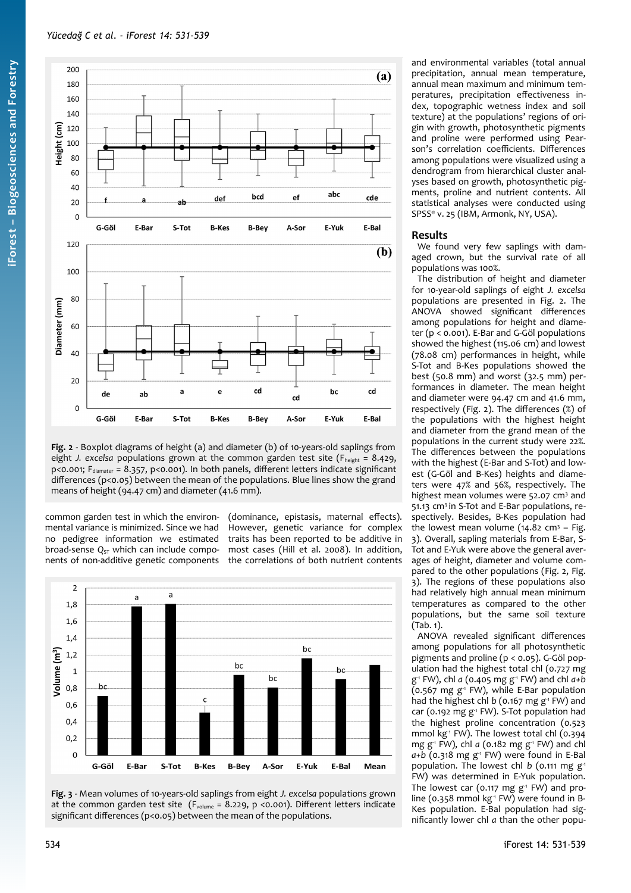

<span id="page-3-1"></span>**Fig. 2** - Boxplot diagrams of height (a) and diameter (b) of 10-years-old saplings from eight *J. excelsa* populations grown at the common garden test site (F<sub>height</sub> = 8.429, p<0.001; F<sub>diamater</sub> = 8.357, p<0.001). In both panels, different letters indicate significant differences (p<0.05) between the mean of the populations. Blue lines show the grand means of height (94.47 cm) and diameter (41.6 mm).

common garden test in which the environmental variance is minimized. Since we had no pedigree information we estimated broad-sense Q<sub>ST</sub> which can include components of non-additive genetic components (dominance, epistasis, maternal effects). However, genetic variance for complex traits has been reported to be additive in most cases (Hill et al. 2008). In addition, the correlations of both nutrient contents



<span id="page-3-0"></span>

and environmental variables (total annual precipitation, annual mean temperature, annual mean maximum and minimum temperatures, precipitation effectiveness index, topographic wetness index and soil texture) at the populations' regions of origin with growth, photosynthetic pigments and proline were performed using Pearson's correlation coefficients. Differences among populations were visualized using a dendrogram from hierarchical cluster analyses based on growth, photosynthetic pigments, proline and nutrient contents. All statistical analyses were conducted using SPSS® v. 25 (IBM, Armonk, NY, USA).

## **Results**

We found very few saplings with damaged crown, but the survival rate of all populations was 100%.

The distribution of height and diameter for 10-year-old saplings of eight *J. excelsa* populations are presented in [Fig. 2](#page-3-1). The ANOVA showed significant differences among populations for height and diameter (p < 0.001). E-Bar and G-Göl populations showed the highest (115.06 cm) and lowest (78.08 cm) performances in height, while S-Tot and B-Kes populations showed the best (50.8 mm) and worst (32.5 mm) performances in diameter. The mean height and diameter were 94.47 cm and 41.6 mm, respectively [\(Fig. 2\)](#page-3-1). The differences (%) of the populations with the highest height and diameter from the grand mean of the populations in the current study were 22%. The differences between the populations with the highest (E-Bar and S-Tot) and lowest (G-Göl and B-Kes) heights and diameters were 47% and 56%, respectively. The highest mean volumes were 52.07 cm<sup>3</sup> and 51.13 cm3 in S-Tot and E-Bar populations, respectively. Besides, B-Kes population had the lowest mean volume (14.82 cm<sup>3</sup> - [Fig.](#page-3-0) [3\)](#page-3-0). Overall, sapling materials from E-Bar, S-Tot and E-Yuk were above the general averages of height, diameter and volume compared to the other populations ([Fig. 2](#page-3-1), [Fig.](#page-3-0) [3\)](#page-3-0). The regions of these populations also had relatively high annual mean minimum temperatures as compared to the other populations, but the same soil texture [\(Tab. 1\)](#page-2-0).

ANOVA revealed significant differences among populations for all photosynthetic pigments and proline (p < 0.05). G-Göl population had the highest total chl (0.727 mg g -1 FW), chl *a* (0.405 mg g-1 FW) and chl *a+b*  $(0.567 \text{ mg g}^{-1} \text{ FW})$ , while E-Bar population had the highest chl *b* (0.167 mg g<sup>-1</sup> FW) and car (0.192 mg g<sup>1</sup> FW). S-Tot population had the highest proline concentration (0.523 mmol kg<sup>-1</sup> FW). The lowest total chl (0.394 mg g-1 FW), chl *a* (0.182 mg g-1 FW) and chl *a+b* (0.318 mg g<sup>-1</sup> FW) were found in E-Bal population. The lowest chl *b* (0.111 mg g<sup>-1</sup> FW) was determined in E-Yuk population. The lowest car (0.117 mg  $g<sup>-1</sup>$  FW) and proline (0.358 mmol kg<sup>-1</sup> FW) were found in B-Kes population. E-Bal population had significantly lower chl *a* than the other popu-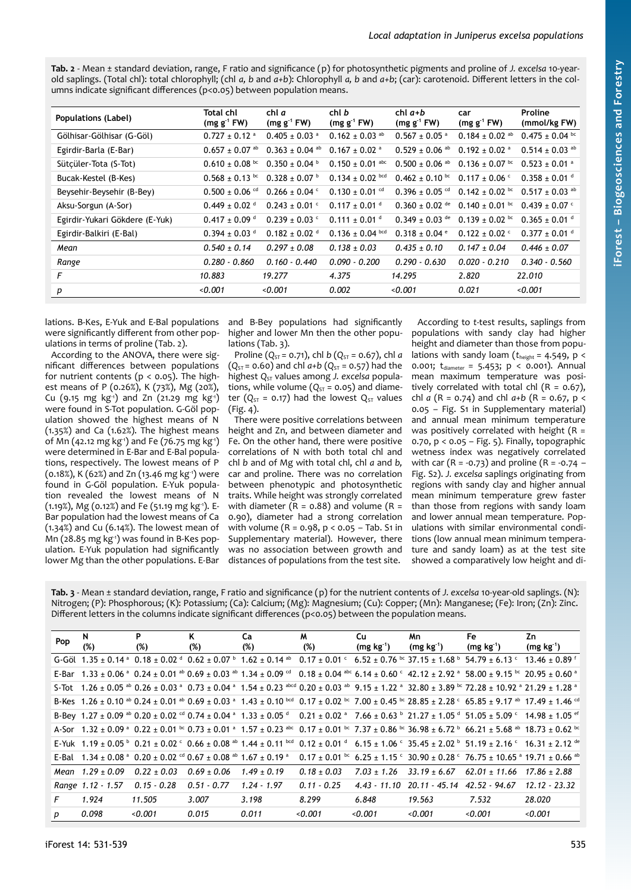<span id="page-4-1"></span>**Tab. 2** - Mean ± standard deviation, range, F ratio and significance (p) for photosynthetic pigments and proline of *J. excelsa* 10-yearold saplings. (Total chl): total chlorophyll; (chl *a, b* and *a+b*): Chlorophyll *a, b* and *a+b*; (car): carotenoid. Different letters in the columns indicate significant differences (p<0.05) between population means.

| Populations (Label)            | Total chl<br>$(mg g-1 FW)$     | chl a<br>$(mg g^{-1} F W)$    | chl b<br>$(mg g-1 FW)$         | $chl$ $a+b$<br>$(mg g-1 FW)$   | car<br>$(mg g-1 FW)$           | Proline<br>(mmol/kg FW)        |
|--------------------------------|--------------------------------|-------------------------------|--------------------------------|--------------------------------|--------------------------------|--------------------------------|
| Gölhisar-Gölhisar (G-Göl)      | $0.727 \pm 0.12$ <sup>a</sup>  | $0.405 \pm 0.03$ <sup>a</sup> | $0.162 \pm 0.03$ <sup>ab</sup> | $0.567 \pm 0.05$ <sup>a</sup>  | $0.184 \pm 0.02$ <sup>ab</sup> | $0.475 \pm 0.04$ bc            |
| Egirdir-Barla (E-Bar)          | $0.657 \pm 0.07$ <sup>ab</sup> | $0.363 \pm 0.04$ ab           | $0.167 \pm 0.02$ <sup>a</sup>  | $0.529 \pm 0.06$ <sup>ab</sup> | $0.192 \pm 0.02$ <sup>a</sup>  | $0.514 \pm 0.03$ <sup>ab</sup> |
| Sütcüler Tota (S-Tot)          | $0.610 \pm 0.08$ bc            | $0.350 \pm 0.04$              | $0.150 \pm 0.01$ abc           | $0.500 \pm 0.06$ <sup>ab</sup> | $0.136 \pm 0.07$ bc            | $0.523 \pm 0.01$ <sup>a</sup>  |
| Bucak-Kestel (B-Kes)           | $0.568 \pm 0.13$ bc            | $0.328 \pm 0.07$ b            | $0.134 \pm 0.02$ bcd           | $0.462 \pm 0.10^{bc}$          | $0.117 \pm 0.06$ c             | $0.358 \pm 0.01$ d             |
| Beysehir-Beysehir (B-Bey)      | $0.500 \pm 0.06$ <sup>cd</sup> | $0.266 \pm 0.04$ <sup>c</sup> | $0.130 \pm 0.01$ <sup>cd</sup> | $0.396 \pm 0.05$ <sup>cd</sup> | $0.142 \pm 0.02^{bc}$          | $0.517 \pm 0.03$ <sup>ab</sup> |
| Aksu-Sorgun (A-Sor)            | $0.449 \pm 0.02$ <sup>d</sup>  | $0.243 \pm 0.01$ c            | $0.117 \pm 0.01$ <sup>d</sup>  | $0.360 \pm 0.02$ <sup>de</sup> | $0.140 \pm 0.01$ bc            | $0.439 \pm 0.07$ c             |
| Egirdir-Yukari Gökdere (E-Yuk) | $0.417 \pm 0.09$ <sup>d</sup>  | $0.239 \pm 0.03$ c            | $0.111 \pm 0.01$ <sup>d</sup>  | $0.349 \pm 0.03$ de            | $0.139 \pm 0.02^{bc}$          | $0.365 \pm 0.01$ <sup>d</sup>  |
| Egirdir-Balkiri (E-Bal)        | $0.394 \pm 0.03$ <sup>d</sup>  | $0.182 \pm 0.02$ <sup>d</sup> | $0.136 \pm 0.04$ bcd           | $0.318 \pm 0.04$ $^{\circ}$    | $0.122 \pm 0.02$ <sup>c</sup>  | $0.377 \pm 0.01$ <sup>d</sup>  |
| Mean                           | $0.540 \pm 0.14$               | $0.297 \pm 0.08$              | $0.138 \pm 0.03$               | $0.435 \pm 0.10$               | $0.147 \pm 0.04$               | $0.446 \pm 0.07$               |
| Range                          | $0.280 - 0.860$                | $0.160 - 0.440$               | $0.090 - 0.200$                | $0.290 - 0.630$                | $0.020 - 0.210$                | $0.340 - 0.560$                |
| F                              | 10.883                         | 19.277                        | 4.375                          | 14.295                         | 2.820                          | 22.010                         |
| p                              | < 0.001                        | < 0.001                       | 0.002                          | 0.001                          | 0.021                          | 0.001                          |

lations. B-Kes, E-Yuk and E-Bal populations were significantly different from other populations in terms of proline [\(Tab. 2\)](#page-4-1).

According to the ANOVA, there were significant differences between populations for nutrient contents ( $p < 0.05$ ). The highest means of P (0.26%), K (73%), Mg (20%), Cu (9.15 mg kg<sup>-1</sup>) and Zn (21.29 mg kg<sup>-1</sup>) were found in S-Tot population. G-Göl population showed the highest means of N (1.35%) and Ca (1.62%). The highest means of Mn (42.12 mg kg<sup>-1</sup>) and Fe (76.75 mg kg<sup>-1</sup>) were determined in E-Bar and E-Bal populations, respectively. The lowest means of P (0.18%), K (62%) and Zn (13.46 mg kg-1) were found in G-Göl population. E-Yuk population revealed the lowest means of N (1.19%), Mg (0.12%) and Fe (51.19 mg kg-1). E-Bar population had the lowest means of Ca (1.34%) and Cu (6.14%). The lowest mean of Mn (28.85 mg kg<sup>-1</sup>) was found in B-Kes population. E-Yuk population had significantly lower Mg than the other populations. E-Bar and B-Bey populations had significantly higher and lower Mn then the other populations ([Tab. 3](#page-4-0)).

Proline ( $Q_{ST}$  = 0.71), chl *b* ( $Q_{ST}$  = 0.67), chl *a*  $(Q_{ST} = 0.60)$  and chl  $a+b(Q_{ST} = 0.57)$  had the highest Q<sub>ST</sub> values among *J. excelsa* populations, while volume  $(Q_{ST} = 0.05)$  and diameter ( $Q_{ST}$  = 0.17) had the lowest  $Q_{ST}$  values ([Fig. 4](#page-5-1)).

There were positive correlations between height and Zn, and between diameter and Fe. On the other hand, there were positive correlations of N with both total chl and chl *b* and of Mg with total chl, chl *a* and *b,* car and proline. There was no correlation between phenotypic and photosynthetic traits. While height was strongly correlated with diameter ( $\overline{R}$  = 0.88) and volume ( $\overline{R}$  = 0.90), diameter had a strong correlation with volume (R = 0.98, p < 0.05 – Tab. S1 in Supplementary material). However, there was no association between growth and distances of populations from the test site.

According to *t*-test results, saplings from populations with sandy clay had higher height and diameter than those from populations with sandy loam (*t*height = 4.549, p < 0.001;  $t_{diameter} = 5.453$ ;  $p < 0.001$ ). Annual mean maximum temperature was positively correlated with total chl  $(R = 0.67)$ , chl *a* (R = 0.74) and chl *a+b* (R = 0.67, p < 0.05 – Fig. S1 in Supplementary material) and annual mean minimum temperature was positively correlated with height ( $R =$ 0.70, p < 0.05 – [Fig. 5\)](#page-5-0). Finally, topographic wetness index was negatively correlated with car (R = -0.73) and proline (R = -0.74 – Fig. S2). *J. excelsa* saplings originating from regions with sandy clay and higher annual mean minimum temperature grew faster than those from regions with sandy loam and lower annual mean temperature. Populations with similar environmental conditions (low annual mean minimum temperature and sandy loam) as at the test site showed a comparatively low height and di-

<span id="page-4-0"></span>**Tab. 3** - Mean ± standard deviation, range, F ratio and significance (p) for the nutrient contents of *J. excelsa* 10-year-old saplings. (N): Nitrogen; (P): Phosphorous; (K): Potassium; (Ca): Calcium; (Mg): Magnesium; (Cu): Copper; (Mn): Manganese; (Fe): Iron; (Zn): Zinc. Different letters in the columns indicate significant differences (p<0.05) between the population means.

| Pop | N<br>(%)             | P<br>(%)        | Κ<br>(%)        | Ca<br>(%)       | M<br>(%)        | Cu<br>$(mg kg-1)$ | Mn.<br>$(mg kg-1)$            | Fe<br>$(mg kg-1)$                                                                                                                                                                                                                                 | Zn<br>$(mg kg-1)$             |
|-----|----------------------|-----------------|-----------------|-----------------|-----------------|-------------------|-------------------------------|---------------------------------------------------------------------------------------------------------------------------------------------------------------------------------------------------------------------------------------------------|-------------------------------|
|     |                      |                 |                 |                 |                 |                   |                               | G-Göl $1.35 \pm 0.14$ $^{\circ}$ 0.18 $\pm$ 0.02 $^{\circ}$ 0.62 $\pm$ 0.07 $^{\circ}$ 1.62 $\pm$ 0.14 $^{\circ}$ 0.17 $\pm$ 0.01 $^{\circ}$ 6.52 $\pm$ 0.76 $^{\circ}$ 37.15 $\pm$ 1.68 $^{\circ}$ 54.79 $\pm$ 6.13 $^{\circ}$                   | $13.46 \pm 0.89$ <sup>T</sup> |
|     |                      |                 |                 |                 |                 |                   |                               | E-Bar $1.33 \pm 0.06$ a $0.24 \pm 0.01$ ab $0.69 \pm 0.03$ ab $1.34 \pm 0.09$ cd $0.18 \pm 0.04$ abc $6.14 \pm 0.60$ c $42.12 \pm 2.92$ a $58.00 \pm 9.15$ bc $20.95 \pm 0.60$ a                                                                  |                               |
|     |                      |                 |                 |                 |                 |                   |                               | 5-Tot 1.26 ± 0.05 ab 0.26 ± 0.03 a 0.73 ± 0.04 a 1.54 ± 0.23 abcd 0.20 ± 0.03 ab 9.15 ± 1.22 a 32.80 ± 3.89 bc 72.28 ± 10.92 a 21.29 ± 1.28 a                                                                                                     |                               |
|     |                      |                 |                 |                 |                 |                   |                               | B-Kes 1.26 ± 0.10 <sup>ab</sup> 0.24 ± 0.01 <sup>ab</sup> 0.69 ± 0.03 <sup>a</sup> 1.43 ± 0.10 <sup>bcd</sup> 0.17 ± 0.02 <sup>bc</sup> 7.00 ± 0.45 <sup>bc</sup> 28.85 ± 2.28 <sup>c</sup> 65.85 ± 9.17 <sup>ab</sup> 17.49 ± 1.46 <sup>cd</sup> |                               |
|     |                      |                 |                 |                 |                 |                   |                               | B-Bev 1.27 ± 0.09 $^{ab}$ 0.20 ± 0.02 $^{cd}$ 0.74 ± 0.04 $^{a}$ 1.33 ± 0.05 $^{d}$ 0.21 ± 0.02 $^{a}$ 7.66 ± 0.63 $^{b}$ 21.27 ± 1.05 $^{d}$ 51.05 $^{t}$ 5.09 $^{c}$ 14.98 ± 1.05 $^{ef}$                                                       |                               |
|     |                      |                 |                 |                 |                 |                   |                               | A-Sor 1.32 + 0.09 $^a$ 0.22 + 0.01 $^{bc}$ 0.73 + 0.01 $^a$ 1.57 + 0.23 $^{abc}$ 0.17 + 0.01 $^{bc}$ 7.37 + 0.86 $^{bc}$ 36.98 + 6.72 $^b$ 66.21 + 5.68 $^{ab}$ 18.73 + 0.62 $^{bc}$                                                              |                               |
|     |                      |                 |                 |                 |                 |                   |                               |                                                                                                                                                                                                                                                   |                               |
|     |                      |                 |                 |                 |                 |                   |                               | E-Bal $1.34 + 0.08$ a $0.20 + 0.02$ cd $0.67 + 0.08$ ab $1.67 + 0.19$ a $0.17 + 0.01$ bc $6.25 + 1.15$ c $30.90 + 0.28$ c $76.75 + 10.65$ a $19.71 + 0.66$ ab                                                                                     |                               |
|     | Mean $1.29 \pm 0.09$ | $0.22 \pm 0.03$ | $0.69 \pm 0.06$ | $1.49 \pm 0.19$ | $0.18 \pm 0.03$ | $7.03 + 1.26$     | $33.19 \pm 6.67$              | $62.01 \pm 11.66$                                                                                                                                                                                                                                 | $17.86 \pm 2.88$              |
|     | Range 1.12 - 1.57    | $0.15 - 0.28$   | $0.51 - 0.77$   | $1.24 - 1.97$   | $0.11 - 0.25$   | $4.43 - 11.10$    | 20.11 - 45.14 - 42.52 - 94.67 |                                                                                                                                                                                                                                                   | $12.12 - 23.32$               |
| F   | 1.924                | 11.505          | 3.007           | 3.198           | 8.299           | 6.848             | 19.563                        | 7.532                                                                                                                                                                                                                                             | 28.020                        |
| D   | 0.098                | < 0.001         | 0.015           | 0.011           | < 0.001         | < 0.001           | < 0.001                       | < 0.001                                                                                                                                                                                                                                           | < 0.001                       |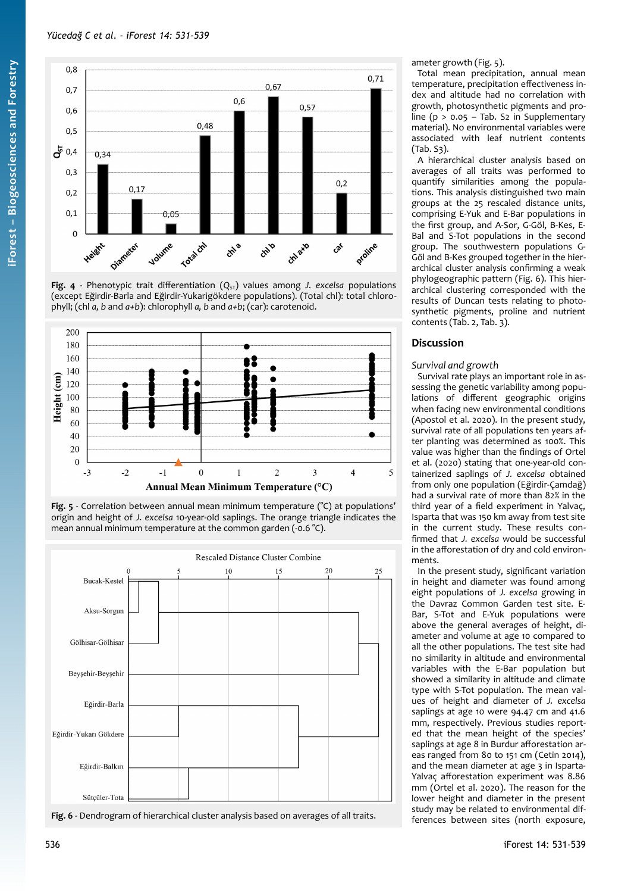

<span id="page-5-1"></span>Fig. 4 - Phenotypic trait differentiation  $(Q_{ST})$  values among *J. excelsa* populations (except Eğirdir-Barla and Eğirdir-Yukarigökdere populations). (Total chl): total chlorophyll; (chl *a, b* and *a+b*): chlorophyll *a, b* and *a+b*; (car): carotenoid.



<span id="page-5-0"></span>



<span id="page-5-2"></span>Fig. 6 - Dendrogram of hierarchical cluster analysis based on averages of all traits.

ameter growth ([Fig. 5\)](#page-5-0).

Total mean precipitation, annual mean temperature, precipitation effectiveness index and altitude had no correlation with growth, photosynthetic pigments and proline ( $p > 0.05 -$  Tab. S2 in Supplementary material). No environmental variables were associated with leaf nutrient contents (Tab. S3).

A hierarchical cluster analysis based on averages of all traits was performed to quantify similarities among the populations. This analysis distinguished two main groups at the 25 rescaled distance units, comprising E-Yuk and E-Bar populations in the first group, and A-Sor, G-Göl, B-Kes, E-Bal and S-Tot populations in the second group. The southwestern populations G-Göl and B-Kes grouped together in the hierarchical cluster analysis confirming a weak phylogeographic pattern [\(Fig. 6](#page-5-2)). This hierarchical clustering corresponded with the results of Duncan tests relating to photosynthetic pigments, proline and nutrient contents [\(Tab. 2](#page-4-1), [Tab. 3\)](#page-4-0).

# **Discussion**

## *Survival and growth*

Survival rate plays an important role in assessing the genetic variability among populations of different geographic origins when facing new environmental conditions (Apostol et al. 2020). In the present study, survival rate of all populations ten years after planting was determined as 100%. This value was higher than the findings of Ortel et al. (2020) stating that one-year-old containerized saplings of *J. excelsa* obtained from only one population (Eğirdir-Çamdağ) had a survival rate of more than 82% in the third year of a field experiment in Yalvaç, Isparta that was 150 km away from test site in the current study. These results confirmed that *J. excelsa* would be successful in the afforestation of dry and cold environments.

In the present study, significant variation in height and diameter was found among eight populations of *J. excelsa* growing in the Davraz Common Garden test site. E-Bar, S-Tot and E-Yuk populations were above the general averages of height, diameter and volume at age 10 compared to all the other populations. The test site had no similarity in altitude and environmental variables with the E-Bar population but showed a similarity in altitude and climate type with S-Tot population. The mean values of height and diameter of *J. excelsa* saplings at age 10 were 94.47 cm and 41.6 mm, respectively. Previous studies reported that the mean height of the species' saplings at age 8 in Burdur afforestation areas ranged from 80 to 151 cm (Cetin 2014), and the mean diameter at age 3 in Isparta-Yalvaç afforestation experiment was 8.86 mm (Ortel et al. 2020). The reason for the lower height and diameter in the present study may be related to environmental differences between sites (north exposure,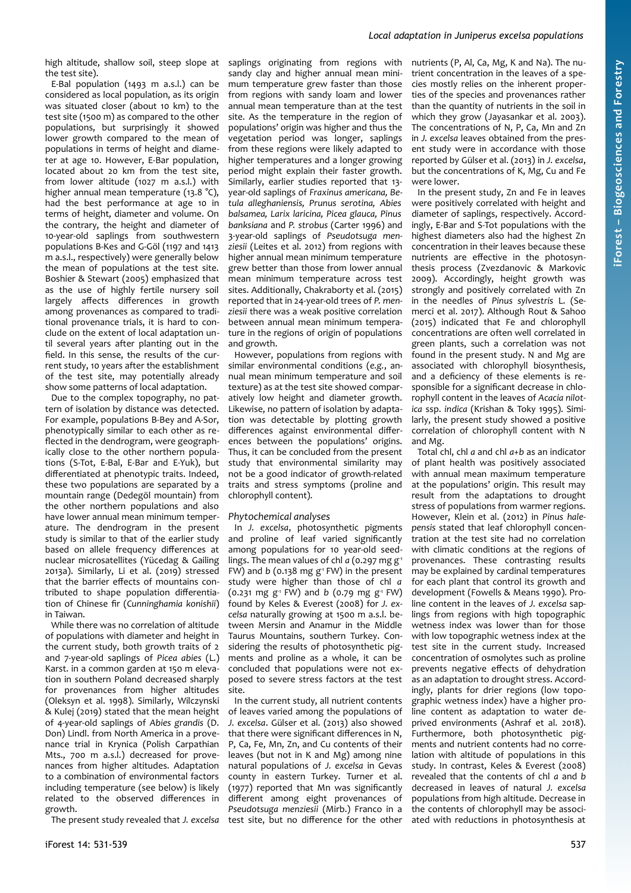# *Local adaptation in Juniperus excelsa populations*

high altitude, shallow soil, steep slope at saplings originating from regions with the test site).

E-Bal population (1493 m a.s.l.) can be considered as local population, as its origin was situated closer (about 10 km) to the test site (1500 m) as compared to the other populations, but surprisingly it showed lower growth compared to the mean of populations in terms of height and diameter at age 10. However, E-Bar population, located about 20 km from the test site, from lower altitude (1027 m a.s.l.) with higher annual mean temperature (13.8 °C), had the best performance at age 10 in terms of height, diameter and volume. On the contrary, the height and diameter of 10-year-old saplings from southwestern populations B-Kes and G-Göl (1197 and 1413 m a.s.l., respectively) were generally below the mean of populations at the test site. Boshier & Stewart (2005) emphasized that as the use of highly fertile nursery soil largely affects differences in growth among provenances as compared to traditional provenance trials, it is hard to conclude on the extent of local adaptation until several years after planting out in the field. In this sense, the results of the current study, 10 years after the establishment of the test site, may potentially already show some patterns of local adaptation.

Due to the complex topography, no pattern of isolation by distance was detected. For example, populations B-Bey and A-Sor, phenotypically similar to each other as reflected in the dendrogram, were geographically close to the other northern populations (S-Tot, E-Bal, E-Bar and E-Yuk), but differentiated at phenotypic traits. Indeed, these two populations are separated by a mountain range (Dedegöl mountain) from the other northern populations and also have lower annual mean minimum temperature. The dendrogram in the present study is similar to that of the earlier study based on allele frequency differences at nuclear microsatellites (Yücedag & Gailing 2013a). Similarly, Li et al. (2019) stressed that the barrier effects of mountains contributed to shape population differentiation of Chinese fir (*Cunninghamia konishii*) in Taiwan.

While there was no correlation of altitude of populations with diameter and height in the current study, both growth traits of 2 and 7-year-old saplings of *Picea abies* (L.) Karst. in a common garden at 150 m elevation in southern Poland decreased sharply for provenances from higher altitudes (Oleksyn et al. 1998). Similarly, Wilczynski & Kulej (2019) stated that the mean height of 4-year-old saplings of *Abies grandis* (D. Don) Lindl. from North America in a provenance trial in Krynica (Polish Carpathian Mts., 700 m a.s.l.) decreased for provenances from higher altitudes. Adaptation to a combination of environmental factors including temperature (see below) is likely related to the observed differences in growth.

The present study revealed that *J. excelsa*

sandy clay and higher annual mean minimum temperature grew faster than those from regions with sandy loam and lower annual mean temperature than at the test site. As the temperature in the region of populations' origin was higher and thus the vegetation period was longer, saplings from these regions were likely adapted to higher temperatures and a longer growing period might explain their faster growth. Similarly, earlier studies reported that 13 year-old saplings of *Fraxinus americana, Betula alleghaniensis, Prunus serotina, Abies balsamea, Larix laricina, Picea glauca, Pinus banksiana* and *P. strobus* (Carter 1996) and 3-year-old saplings of *Pseudotsuga menziesii* (Leites et al. 2012) from regions with higher annual mean minimum temperature grew better than those from lower annual mean minimum temperature across test sites. Additionally, Chakraborty et al. (2015) reported that in 24-year-old trees of *P. menziesii* there was a weak positive correlation between annual mean minimum temperature in the regions of origin of populations and growth.

However, populations from regions with similar environmental conditions (*e.g.*, annual mean minimum temperature and soil texture) as at the test site showed comparatively low height and diameter growth. Likewise, no pattern of isolation by adaptation was detectable by plotting growth differences against environmental differences between the populations' origins. Thus, it can be concluded from the present study that environmental similarity may not be a good indicator of growth-related traits and stress symptoms (proline and chlorophyll content).

#### *Phytochemical analyses*

In *J. excelsa*, photosynthetic pigments and proline of leaf varied significantly among populations for 10 year-old seedlings. The mean values of chl *a* (0.297 mg g<sup>-1</sup>) FW) and  $b$  (0.138 mg  $g<sup>1</sup>$  FW) in the present study were higher than those of chl *a*  $(0.231 \text{ mg g}^{-1} \text{FW})$  and *b*  $(0.79 \text{ mg g}^{-1} \text{FW})$ found by Keles & Everest (2008) for *J. excelsa* naturally growing at 1500 m a.s.l. between Mersin and Anamur in the Middle Taurus Mountains, southern Turkey. Considering the results of photosynthetic pigments and proline as a whole, it can be concluded that populations were not exposed to severe stress factors at the test site.

In the current study, all nutrient contents of leaves varied among the populations of *J. excelsa*. Gülser et al. (2013) also showed that there were significant differences in N, P, Ca, Fe, Mn, Zn, and Cu contents of their leaves (but not in K and Mg) among nine natural populations of *J. excelsa* in Gevas county in eastern Turkey. Turner et al. (1977) reported that Mn was significantly different among eight provenances of *Pseudotsuga menziesii* (Mirb.) Franco in a test site, but no difference for the other nutrients (P, Al, Ca, Mg, K and Na). The nutrient concentration in the leaves of a species mostly relies on the inherent properties of the species and provenances rather than the quantity of nutrients in the soil in which they grow (Jayasankar et al. 2003). The concentrations of N, P, Ca, Mn and Zn in *J. excelsa* leaves obtained from the present study were in accordance with those reported by Gülser et al. (2013) in *J. excelsa*, but the concentrations of K, Mg, Cu and Fe were lower.

In the present study, Zn and Fe in leaves were positively correlated with height and diameter of saplings, respectively. Accordingly, E-Bar and S-Tot populations with the highest diameters also had the highest Zn concentration in their leaves because these nutrients are effective in the photosynthesis process (Zvezdanovic & Markovic 2009). Accordingly, height growth was strongly and positively correlated with Zn in the needles of *Pinus sylvestris* L. (Semerci et al. 2017). Although Rout & Sahoo (2015) indicated that Fe and chlorophyll concentrations are often well correlated in green plants, such a correlation was not found in the present study. N and Mg are associated with chlorophyll biosynthesis, and a deficiency of these elements is responsible for a significant decrease in chlorophyll content in the leaves of *Acacia nilotica* ssp. *indica* (Krishan & Toky 1995). Similarly, the present study showed a positive correlation of chlorophyll content with N and Mg.

Total chl, chl *a* and chl *a+b* as an indicator of plant health was positively associated with annual mean maximum temperature at the populations' origin. This result may result from the adaptations to drought stress of populations from warmer regions. However, Klein et al. (2012) in *Pinus halepensis* stated that leaf chlorophyll concentration at the test site had no correlation with climatic conditions at the regions of provenances. These contrasting results may be explained by cardinal temperatures for each plant that control its growth and development (Fowells & Means 1990). Proline content in the leaves of *J. excelsa* saplings from regions with high topographic wetness index was lower than for those with low topographic wetness index at the test site in the current study. Increased concentration of osmolytes such as proline prevents negative effects of dehydration as an adaptation to drought stress. Accordingly, plants for drier regions (low topographic wetness index) have a higher proline content as adaptation to water deprived environments (Ashraf et al. 2018). Furthermore, both photosynthetic pigments and nutrient contents had no correlation with altitude of populations in this study. In contrast, Keles & Everest (2008) revealed that the contents of chl *a* and *b* decreased in leaves of natural *J. excelsa* populations from high altitude. Decrease in the contents of chlorophyll may be associated with reductions in photosynthesis at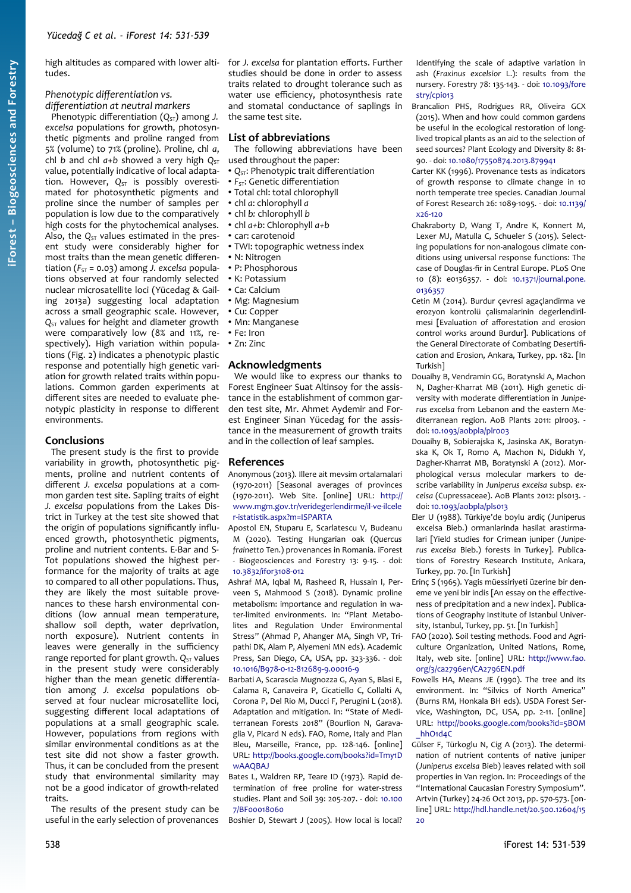high altitudes as compared with lower altitudes.

#### *Phenotypic differentiation vs. differentiation at neutral markers*

Phenotypic differentiation ( $Q<sub>ST</sub>$ ) among *J. excelsa* populations for growth, photosynthetic pigments and proline ranged from 5% (volume) to 71% (proline). Proline, chl *a*, chl *b* and chl  $a+b$  showed a very high  $Q_{ST}$ value, potentially indicative of local adaptation. However, O<sub>ST</sub> is possibly overestimated for photosynthetic pigments and proline since the number of samples per population is low due to the comparatively high costs for the phytochemical analyses. Also, the  $Q_{ST}$  values estimated in the present study were considerably higher for most traits than the mean genetic differentiation ( $F_{ST}$  = 0.03) among *J. excelsa* populations observed at four randomly selected nuclear microsatellite loci (Yücedag & Gailing 2013a) suggesting local adaptation across a small geographic scale. However,  $Q<sub>ST</sub>$  values for height and diameter growth were comparatively low (8% and 11%, respectively). High variation within populations [\(Fig. 2\)](#page-3-1) indicates a phenotypic plastic response and potentially high genetic variation for growth related traits within populations. Common garden experiments at different sites are needed to evaluate phenotypic plasticity in response to different environments.

## **Conclusions**

The present study is the first to provide variability in growth, photosynthetic pigments, proline and nutrient contents of different *J. excelsa* populations at a common garden test site. Sapling traits of eight *J. excelsa* populations from the Lakes District in Turkey at the test site showed that the origin of populations significantly influenced growth, photosynthetic pigments, proline and nutrient contents. E-Bar and S-Tot populations showed the highest performance for the majority of traits at age 10 compared to all other populations. Thus, they are likely the most suitable provenances to these harsh environmental conditions (low annual mean temperature, shallow soil depth, water deprivation, north exposure). Nutrient contents in leaves were generally in the sufficiency range reported for plant growth.  $Q_{ST}$  values in the present study were considerably higher than the mean genetic differentiation among *J. excelsa* populations observed at four nuclear microsatellite loci, suggesting different local adaptations of populations at a small geographic scale. However, populations from regions with similar environmental conditions as at the test site did not show a faster growth. Thus, it can be concluded from the present study that environmental similarity may not be a good indicator of growth-related traits.

The results of the present study can be useful in the early selection of provenances for *J. excelsa* for plantation efforts. Further studies should be done in order to assess traits related to drought tolerance such as water use efficiency, photosynthesis rate and stomatal conductance of saplings in the same test site.

### **List of abbreviations**

- The following abbreviations have been
- used throughout the paper:
- $Q_{ST}$ : Phenotypic trait differentiation
- $F<sub>ST</sub>$ : Genetic differentiation
- Total chl: total chlorophyll
- chl *a*: chlorophyll *a*
- chl *b:* chlorophyll *b* • chl *a+b*: Chlorophyll *a+b*
- car: carotenoid
- TWI: topographic wetness index
- N: Nitrogen
- P: Phosphorous
- K: Potassium
- Ca: Calcium
- Mg: Magnesium
- Cu: Copper
- Mn: Manganese
- Fe: Iron
- $\cdot$  7n $\cdot$  7inc

### **Acknowledgments**

We would like to express our thanks to Forest Engineer Suat Altinsoy for the assistance in the establishment of common garden test site, Mr. Ahmet Aydemir and Forest Engineer Sinan Yücedag for the assistance in the measurement of growth traits and in the collection of leaf samples.

# **References**

- Anonymous (2013). Illere ait mevsim ortalamalari (1970-2011) [Seasonal averages of provinces (1970-2011). Web Site. [online] URL: [http://](http://www.mgm.gov.tr/veridegerlendirme/il-ve-ilceler-istatistik.aspx?m=ISPARTA) [www.mgm.gov.tr/veridegerlendirme/il-ve-ilcele](http://www.mgm.gov.tr/veridegerlendirme/il-ve-ilceler-istatistik.aspx?m=ISPARTA) [r-istatistik.aspx?m=ISPARTA](http://www.mgm.gov.tr/veridegerlendirme/il-ve-ilceler-istatistik.aspx?m=ISPARTA)
- Apostol EN, Stuparu E, Scarlatescu V, Budeanu M (2020). Testing Hungarian oak (*Quercus frainetto* Ten.) provenances in Romania. iForest - Biogeosciences and Forestry 13: 9-15. - doi: [10.3832/ifor3108-012](https://doi.org/10.3832/ifor3108-012)
- Ashraf MA, Iqbal M, Rasheed R, Hussain I, Perveen S, Mahmood S (2018). Dynamic proline metabolism: importance and regulation in water-limited environments. In: "Plant Metabolites and Regulation Under Environmental Stress" (Ahmad P, Ahanger MA, Singh VP, Tripathi DK, Alam P, Alyemeni MN eds). Academic Press, San Diego, CA, USA, pp. 323-336. - doi: [10.1016/B978-0-12-812689-9.00016-9](https://doi.org/10.1016/B978-0-12-812689-9.00016-9)
- Barbati A, Scarascia Mugnozza G, Ayan S, Blasi E, Calama R, Canaveira P, Cicatiello C, Collalti A, Corona P, Del Rio M, Ducci F, Perugini L (2018). Adaptation and mitigation. In: "State of Mediterranean Forests 2018" (Bourlion N, Garavaglia V, Picard N eds). FAO, Rome, Italy and Plan Bleu, Marseille, France, pp. 128-146. [online] URL: [http://books.google.com/books?id=Tmy1D](http://books.google.com/books?id=Tmy1DwAAQBAJ) [wAAQBAJ](http://books.google.com/books?id=Tmy1DwAAQBAJ)
- Bates L, Waldren RP, Teare ID (1973). Rapid determination of free proline for water-stress studies. Plant and Soil 39: 205-207. - doi: [10.100](https://doi.org/10.1007/BF00018060) [7/BF00018060](https://doi.org/10.1007/BF00018060)

Boshier D, Stewart J (2005). How local is local?

Identifying the scale of adaptive variation in ash (*Fraxinus excelsior* L.): results from the nursery. Forestry 78: 135-143. - doi: [10.1093/fore](https://doi.org/10.1093/forestry/cpi013) [stry/cpi013](https://doi.org/10.1093/forestry/cpi013)

Brancalion PHS, Rodrigues RR, Oliveira GCX (2015). When and how could common gardens be useful in the ecological restoration of longlived tropical plants as an aid to the selection of seed sources? Plant Ecology and Diversity 8: 81- 90. - doi: [10.1080/17550874.2013.879941](https://doi.org/10.1080/17550874.2013.879941)

- Carter KK (1996). Provenance tests as indicators of growth response to climate change in 10 north temperate tree species. Canadian Journal of Forest Research 26: 1089-1095. - doi: [10.1139/](https://doi.org/10.1139/x26-120) [x26-120](https://doi.org/10.1139/x26-120)
- Chakraborty D, Wang T, Andre K, Konnert M, Lexer MJ, Matulla C, Schueler S (2015). Selecting populations for non-analogous climate conditions using universal response functions: The case of Douglas-fir in Central Europe. PLoS One 10 (8): e0136357. - doi: [10.1371/journal.pone.](https://doi.org/10.1371/journal.pone.0136357) [0136357](https://doi.org/10.1371/journal.pone.0136357)
- Cetin M (2014). Burdur çevresi agaçlandirma ve erozyon kontrolü çalismalarinin degerlendirilmesi [Evaluation of afforestation and erosion control works around Burdur]. Publications of the General Directorate of Combating Desertification and Erosion, Ankara, Turkey, pp. 182. [In Turkish]
- Douaihy B, Vendramin GG, Boratynski A, Machon N, Dagher-Kharrat MB (2011). High genetic diversity with moderate differentiation in *Juniperus excelsa* from Lebanon and the eastern Mediterranean region. AoB Plants 2011: plr003. doi: [10.1093/aobpla/plr003](https://doi.org/10.1093/aobpla/plr003)
- Douaihy B, Sobierajska K, Jasinska AK, Boratynska K, Ok T, Romo A, Machon N, Didukh Y, Dagher-Kharrat MB, Boratynski A (2012). Morphological *versus* molecular markers to describe variability in *Juniperus excelsa* subsp. *excelsa* (Cupressaceae). AoB Plants 2012: pls013. doi: [10.1093/aobpla/pls013](https://doi.org/10.1093/aobpla/pls013)
- Eler U (1988). Türkiye'de boylu ardiç (Juniperus excelsa Bieb.) ormanlarinda hasilat arastirmalari [Yield studies for Crimean juniper (*Juniperus excelsa* Bieb.) forests in Turkey]. Publications of Forestry Research Institute, Ankara, Turkey, pp. 70. [In Turkish]
- Erinç S (1965). Yagis müessiriyeti üzerine bir deneme ve yeni bir indis [An essay on the effectiveness of precipitation and a new index]. Publications of Geography Institute of Istanbul University, Istanbul, Turkey, pp. 51. [In Turkish]
- FAO (2020). Soil testing methods. Food and Agriculture Organization, United Nations, Rome, Italy, web site. [online] URL: [http://www.fao.](http://www.fao.org/3/ca2796en/CA2796EN.pdf) [org/3/ca2796en/CA2796EN.pdf](http://www.fao.org/3/ca2796en/CA2796EN.pdf)
- Fowells HA, Means JE (1990). The tree and its environment. In: "Silvics of North America" (Burns RM, Honkala BH eds). USDA Forest Service, Washington, DC, USA, pp. 2-11. [online] URL: [http://books.google.com/books?id=5BOM](http://books.google.com/books?id=5BOM_hhO1d4C) [\\_hhO1d4C](http://books.google.com/books?id=5BOM_hhO1d4C)
- Gülser F, Türkoglu N, Cig A (2013). The determination of nutrient contents of native juniper (*Juniperus excelsa* Bieb) leaves related with soil properties in Van region. In: Proceedings of the "International Caucasian Forestry Symposium". Artvin (Turkey) 24-26 Oct 2013, pp. 570-573. [online] URL: [http://hdl.handle.net/20.500.12604/15](http://hdl.handle.net/20.500.12604/1520)  $20$